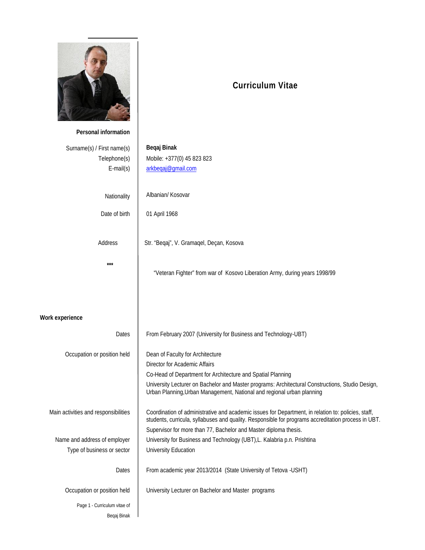

## **Curriculum Vitae**

| Personal information                 |                                                                                                                                                                            |
|--------------------------------------|----------------------------------------------------------------------------------------------------------------------------------------------------------------------------|
| Surname(s) / First name(s)           | Begaj Binak                                                                                                                                                                |
| Telephone(s)                         | Mobile: +377(0) 45 823 823                                                                                                                                                 |
| $E$ -mail $(s)$                      | arkbegaj@gmail.com                                                                                                                                                         |
|                                      |                                                                                                                                                                            |
|                                      |                                                                                                                                                                            |
| Nationality                          | Albanian/ Kosovar                                                                                                                                                          |
| Date of birth                        | 01 April 1968                                                                                                                                                              |
|                                      |                                                                                                                                                                            |
|                                      |                                                                                                                                                                            |
| Address                              | Str. "Beqaj", V. Gramaqel, Deçan, Kosova                                                                                                                                   |
|                                      |                                                                                                                                                                            |
| $***$                                |                                                                                                                                                                            |
|                                      | "Veteran Fighter" from war of Kosovo Liberation Army, during years 1998/99                                                                                                 |
|                                      |                                                                                                                                                                            |
|                                      |                                                                                                                                                                            |
|                                      |                                                                                                                                                                            |
| <b>Work experience</b>               |                                                                                                                                                                            |
| Dates                                | From February 2007 (University for Business and Technology-UBT)                                                                                                            |
|                                      |                                                                                                                                                                            |
| Occupation or position held          | Dean of Faculty for Architecture                                                                                                                                           |
|                                      | Director for Academic Affairs                                                                                                                                              |
|                                      | Co-Head of Department for Architecture and Spatial Planning                                                                                                                |
|                                      | University Lecturer on Bachelor and Master programs: Architectural Constructions, Studio Design,<br>Urban Planning, Urban Management, National and regional urban planning |
|                                      |                                                                                                                                                                            |
| Main activities and responsibilities | Coordination of administrative and academic issues for Department, in relation to: policies, staff,                                                                        |
|                                      | students, curricula, syllabuses and quality. Responsible for programs accreditation process in UBT.                                                                        |
|                                      | Supervisor for more than 77, Bachelor and Master diploma thesis.                                                                                                           |
| Name and address of employer         | University for Business and Technology (UBT), L. Kalabria p.n. Prishtina                                                                                                   |
| Type of business or sector           | University Education                                                                                                                                                       |
|                                      |                                                                                                                                                                            |
| Dates                                | From academic year 2013/2014 (State University of Tetova -USHT)                                                                                                            |
| Occupation or position held          | University Lecturer on Bachelor and Master programs                                                                                                                        |
|                                      |                                                                                                                                                                            |
| Page 1 - Curriculum vitae of         |                                                                                                                                                                            |
| Beqaj Binak                          |                                                                                                                                                                            |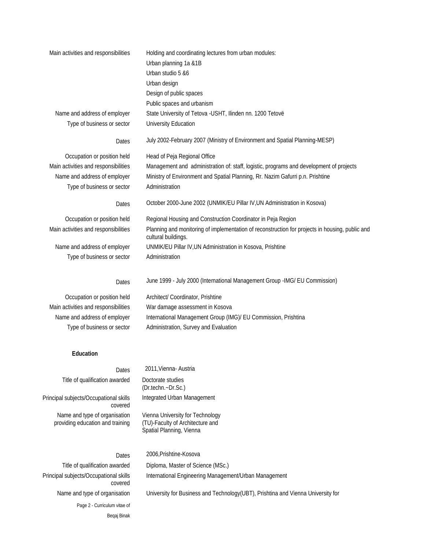| Main activities and responsibilities | Holding and coordinating lectures from urban modules:                                                                  |
|--------------------------------------|------------------------------------------------------------------------------------------------------------------------|
|                                      | Urban planning 1a &1B                                                                                                  |
|                                      | Urban studio 5 & 6                                                                                                     |
|                                      | Urban design                                                                                                           |
|                                      | Design of public spaces                                                                                                |
|                                      | Public spaces and urbanism                                                                                             |
| Name and address of employer         | State University of Tetova - USHT, Ilinden nn. 1200 Tetovë                                                             |
| Type of business or sector           | University Education                                                                                                   |
| Dates                                | July 2002-February 2007 (Ministry of Environment and Spatial Planning-MESP)                                            |
| Occupation or position held          | Head of Peja Regional Office                                                                                           |
| Main activities and responsibilities | Management and administration of: staff, logistic, programs and development of projects                                |
| Name and address of employer         | Ministry of Environment and Spatial Planning, Rr. Nazim Gafurri p.n. Prishtine                                         |
| Type of business or sector           | Administration                                                                                                         |
| Dates                                | October 2000-June 2002 (UNMIK/EU Pillar IV, UN Administration in Kosova)                                               |
| Occupation or position held          | Regional Housing and Construction Coordinator in Peja Region                                                           |
| Main activities and responsibilities | Planning and monitoring of implementation of reconstruction for projects in housing, public and<br>cultural buildings. |
| Name and address of employer         | UNMIK/EU Pillar IV, UN Administration in Kosova, Prishtine                                                             |
| Type of business or sector           | Administration                                                                                                         |
| Dates                                | June 1999 - July 2000 (International Management Group -IMG/EU Commission)                                              |
| Occupation or position held          | Architect/Coordinator, Prishtine                                                                                       |
| Main activities and responsibilities | War damage assessment in Kosova                                                                                        |

Name and address of employer International Management Group (IMG)/ EU Commission, Prishtina Type of business or sector Administration, Survey and Evaluation

## **Education**

Dates 2011, Vienna- Austria

| Dates                                                             | <u>ZUTT, VIGHTA AUSUIA</u>                                                                       |  |
|-------------------------------------------------------------------|--------------------------------------------------------------------------------------------------|--|
| Title of qualification awarded                                    | Doctorate studies<br>(Dr.techn.~Dr.Sc.)                                                          |  |
| Principal subjects/Occupational skills<br>covered                 | Integrated Urban Management                                                                      |  |
| Name and type of organisation<br>providing education and training | Vienna University for Technology<br>(TU)-Faculty of Architecture and<br>Spatial Planning, Vienna |  |
| Dates                                                             | 2006, Prishtine-Kosova                                                                           |  |
| Title of qualification awarded                                    | Diploma, Master of Science (MSc.)                                                                |  |

Page 2 - Curriculum vitae of Beqaj Binak Principal subjects/Occupational skills covered

Name and type of organisation University for Business and Technology(UBT), Prishtina and Vienna University for

International Engineering Management/Urban Management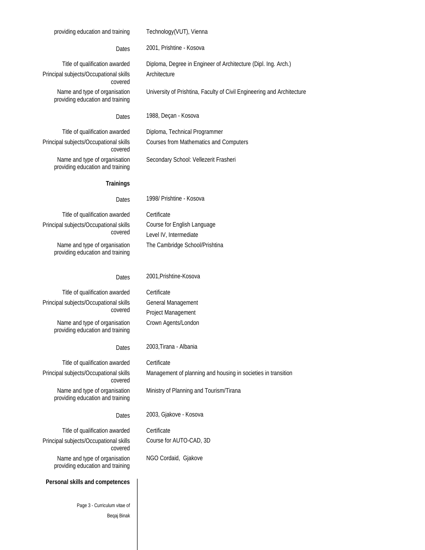### providing education and training Technology(VUT), Vienna

Dates 2001, Prishtine - Kosova

Title of qualification awarded Diploma, Degree in Engineer of Architecture (Dipl. Ing. Arch.) Principal subjects/Occupational skills covered Name and type of organisation

providing education and training

**Architecture** 

University of Prishtina, Faculty of Civil Engineering and Architecture

Dates 1988, Deçan - Kosova

Title of qualification awarded Diploma, Technical Programmer Principal subjects/Occupational skills covered Name and type of organisation

Courses from Mathematics and Computers

providing education and training

Secondary School: Vellezerit Frasheri

## **Trainings**

Dates 1998/ Prishtine - Kosova

Course for English Language Level IV, Intermediate

The Cambridge School/Prishtina

Title of qualification awarded Certificate Principal subjects/Occupational skills covered

Name and type of organisation providing education and training

## Dates 2001, Prishtine-Kosova

Title of qualification awarded Certificate Principal subjects/Occupational skills covered

Name and type of organisation providing education and training

Dates 2003,Tirana - Albania

Title of qualification awarded Certificate Principal subjects/Occupational skills covered Name and type of organisation providing education and training

Ministry of Planning and Tourism/Tirana

Management of planning and housing in societies in transition

Dates 2003, Gjakove - Kosova

Course for AUTO-CAD, 3D

NGO Cordaid, Gjakove

Title of qualification awarded Certificate Principal subjects/Occupational skills covered Name and type of organisation providing education and training

### **Personal skills and competences**

Page 3 - Curriculum vitae of Beqaj Binak

# General Management

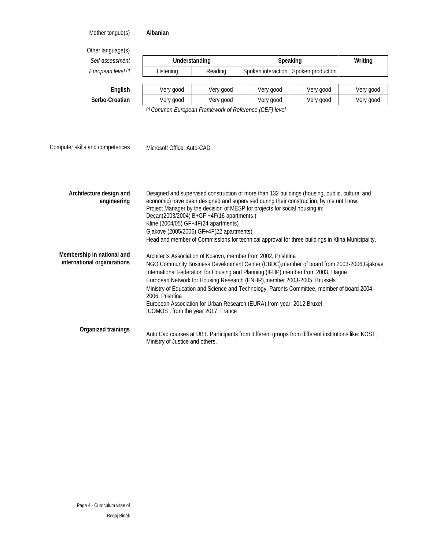Mother tongue(s) **Albanian**

Other language(s)

| Self-assessment    | <b>Understanding</b> |           |           | <b>Speaking</b>                        | Writing   |
|--------------------|----------------------|-----------|-----------|----------------------------------------|-----------|
| European level (*) | Listening            | Reading   |           | Spoken interaction   Spoken production |           |
|                    |                      |           |           |                                        |           |
| <b>English</b>     | Very good            | Very good | Very good | Very good                              | Very good |

*(\*) Common European Framework of Reference (CEF) level*

Computer skills and competences Microsoft Office, Auto-CAD

| Architecture design and<br>engineering                    | Designed and supervised construction of more than 132 buildings (housing, public, cultural and<br>economic) have been designed and supervised during their construction, by me until now.<br>Project Manager by the decision of MESP for projects for social housing in:<br>Deçan(2003/2004) B+GF +4F(16 apartments)<br>Kline (2004/05) GF+4F(24 apartments)<br>Gjakove (2005/2006) GF+4F(22 apartments)<br>Head and member of Commissions for technical approval for three buildings in Klina Municipality.                                               |
|-----------------------------------------------------------|------------------------------------------------------------------------------------------------------------------------------------------------------------------------------------------------------------------------------------------------------------------------------------------------------------------------------------------------------------------------------------------------------------------------------------------------------------------------------------------------------------------------------------------------------------|
| Membership in national and<br>international organizations | Architects Association of Kosovo, member from 2002, Prishtina<br>NGO Community Business Development Center (CBDC), member of board from 2003-2006, Gjakove<br>International Federation for Housing and Planning (IFHP), member from 2003, Hague<br>European Network for Housing Research (ENHR), member 2003-2005, Brussels<br>Mnistry of Education and Science and Technology, Parents Committee, member of board 2004-<br>2006. Prishtina<br>European Association for Urban Research (EURA) from year 2012, Bruxel<br>ICOMOS, from the year 2017, France |
| <b>Organized trainings</b>                                | Auto Cad courses at UBT. Participants from different groups from different institutions like: KOST,<br>Ministry of Justice and others.                                                                                                                                                                                                                                                                                                                                                                                                                     |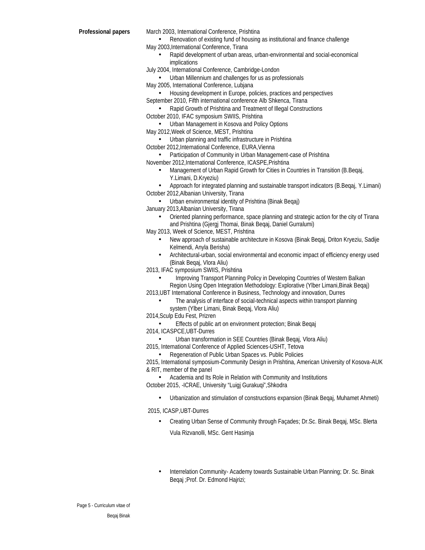**Professional papers** March 2003, International Conference, Prishtina

- Renovation of existing fund of housing as institutional and finance challenge May 2003,International Conference, Tirana
	- Rapid development of urban areas, urban-environmental and social-economical implications
- July 2004, International Conference, Cambridge-London
	- Urban Millennium and challenges for us as professionals
- May 2005, International Conference, Lubjana
	- Housing development in Europe, policies, practices and perspectives
- September 2010, Fifth international conference Alb Shkenca, Tirana
	- Rapid Growth of Prishtina and Treatment of Illegal Constructions
- October 2010, IFAC symposium SWIIS, Prishtina
- Urban Management in Kosova and Policy Options
- May 2012,Week of Science, MEST, Prishtina
	- Urban planning and traffic infrastructure in Prishtina
- October 2012,International Conference, EURA,Vienna
- Participation of Community in Urban Management-case of Prishtina November 2012,International Conference, ICASPE,Prishtina
	- Management of Urban Rapid Growth for Cities in Countries in Transition (B.Beqaj, Y.Limani, D.Kryeziu)
- Approach for integrated planning and sustainable transport indicators (B.Beqaj, Y.Limani) October 2012,Albanian University, Tirana
	- Urban environmental identity of Prishtina (Binak Beqaj)
- January 2013,Albanian University, Tirana
	- Oriented planning performance, space planning and strategic action for the city of Tirana and Prishtina (Gjergj Thomai, Binak Beqaj, Daniel Gurralumi)
- May 2013, Week of Science, MEST, Prishtina
	- New approach of sustainable architecture in Kosova (Binak Beqaj, Driton Kryeziu, Sadije Kelmendi, Anyla Berisha)
	- Architectural-urban, social environmental and economic impact of efficiency energy used (Binak Beqaj, Vlora Aliu)

2013, IFAC symposium SWIIS, Prishtina

- Improving Transport Planning Policy in Developing Countries of Western Balkan Region Using Open Integration Methodology: Explorative (Ylber Limani,Binak Beqaj)
- 2013,UBT International Conference in Business, Technology and innovation, Durres
	- The analysis of interface of social-technical aspects within transport planning system (Ylber Limani, Binak Beqaj, Vlora Aliu)
- 2014,Sculp Edu Fest, Prizren
	- Effects of public art on environment protection; Binak Beqaj
- 2014, ICASPCE,UBT-Durres
	- Urban transformation in SEE Countries (Binak Beqaj, Vlora Aliu)

2015, International Conference of Applied Sciences-USHT, Tetova

• Regeneration of Public Urban Spaces vs. Public Policies

2015, International symposium-Community Design in Prishtina, American University of Kosova-AUK & RIT, member of the panel

- Academia and Its Role in Relation with Community and Institutions October 2015, -ICRAE, University "Luigj Gurakuqi",Shkodra
	- Urbanization and stimulation of constructions expansion (Binak Beqaj, Muhamet Ahmeti)

2015, ICASP,UBT-Durres

- Creating Urban Sense of Community through Façades; Dr.Sc. Binak Beqaj, MSc. Blerta Vula Rizvanolli, MSc. Gent Hasimja
- Interrelation Community- Academy towards Sustainable Urban Planning; Dr. Sc. Binak Beqaj ;Prof. Dr. Edmond Hajrizi;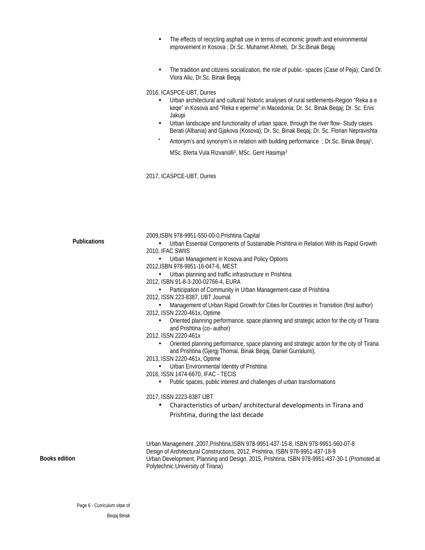- The effects of recycling asphalt use in terms of economic growth and environmental improvement in Kosova ; Dr.Sc. Muhamet Ahmeti, Dr.Sc.Binak Beqaj
- The tradition and citizens socialization, the role of public-spaces (Case of Peja); Cand Dr. Vlora Aliu, Dr.Sc. Binak Beqaj

2016, ICASPCE-UBT, Durres

- Urban architectural and cultural/ historic analyses of rural settlements-Region "Reka a e keqe" in Kosova and "Reka e eperme" in Macedonia; Dr. Sc. Binak Beqaj; Dr. Sc. Enis Jakupi
- Urban landscape and functionality of urban space, through the river flow- Study cases Berati (Albania) and Gjakova (Kosova); Dr. Sc. Binak Beqaj; Dr. Sc. Florian Nepravishta
- Antonym's and synonym's in relation with building performance ; Dr.Sc. Binak Beqaj<sup>1</sup> ,

MSc. Blerta Vula Rizvanolli<sup>2</sup> , MSc. Gent Hasimja<sup>3</sup>

2017, ICASPCE-UBT, Durres

|                      | 2009, ISBN 978-9951-550-00-0, Prishtina Capital                                                                                                            |
|----------------------|------------------------------------------------------------------------------------------------------------------------------------------------------------|
| <b>Publications</b>  | Urban Essential Components of Sustainable Prishtina in Relation With its Rapid Growth<br>2010. IFAC SWIIS                                                  |
|                      | Urban Management in Kosova and Policy Options                                                                                                              |
|                      | 2012, ISBN 978-9951-16-047-6, MEST                                                                                                                         |
|                      | Urban planning and traffic infrastructure in Prishtina                                                                                                     |
|                      | 2012. ISBN 91-8-3-200-02766-4. EURA                                                                                                                        |
|                      | Participation of Community in Urban Management-case of Prishtina                                                                                           |
|                      | 2012, ISSN 223-8387, UBT Journal                                                                                                                           |
|                      | Management of Urban Rapid Growth for Cities for Countries in Transition (first author)<br>2012, ISSN 2220-461x, Optime                                     |
|                      | Oriented planning performance, space planning and strategic action for the city of Tirana<br>and Prishtina (co- author)                                    |
|                      | 2012, ISSN 2220-461x                                                                                                                                       |
|                      | Oriented planning performance, space planning and strategic action for the city of Tirana<br>and Prishtina (Gjergj Thomai, Binak Beqaj, Daniel Gurralumi), |
|                      | 2013, ISSN 2220-461x, Optime                                                                                                                               |
|                      | Urban Environmental Identity of Prishtina                                                                                                                  |
|                      | 2016, ISSN 1474-6670, IFAC - TECIS                                                                                                                         |
|                      | Public spaces, public interest and challenges of urban transformations                                                                                     |
|                      | 2017, ISSN 2223-8387 IJBT                                                                                                                                  |
|                      | Characteristics of urban/architectural developments in Tirana and                                                                                          |
|                      | Prishtina, during the last decade                                                                                                                          |
|                      |                                                                                                                                                            |
|                      | Urban Management ,2007, Prishtina, ISBN 978-9951-437-15-8, ISBN 978-9951-560-07-8                                                                          |
|                      | Design of Architectural Constructions, 2012, Prishtina, ISBN 978-9951-437-18-9                                                                             |
| <b>Books edition</b> | Urban Development, Planning and Design, 2015, Prishtina, ISBN 978-9951-437-30-1 (Promoted at<br>Polytechnic University of Tirana)                          |
|                      |                                                                                                                                                            |

Page 6 - Curriculum vitae of Beqaj Binak